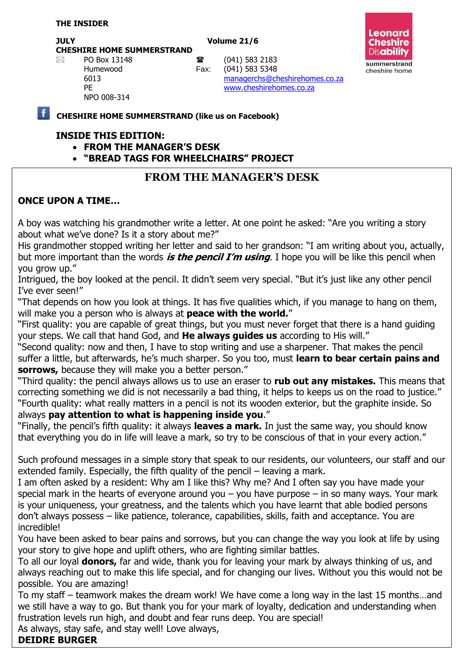#### **THE INSIDER**

**JULY Volume 21/6**

**CHESHIRE HOME SUMMERSTRAND**

NPO 008-314

 $\boxtimes$  PO Box 13148 **a** (041) 583 2183 Humewood Fax: (041) 583 5348 6013 [managerchs@cheshirehomes.co.za](mailto:managerchs@cheshirehomes.co.za) PE [www.cheshirehomes.co.za](http://www.cheshirehomes.co.za/)



**CHESHIRE HOME SUMMERSTRAND (like us on Facebook)**

#### **INSIDE THIS EDITION:**

- **FROM THE MANAGER'S DESK**
- **"BREAD TAGS FOR WHEELCHAIRS" PROJECT**

### **FROM THE MANAGER'S DESK**

#### **ONCE UPON A TIME…**

A boy was watching his grandmother write a letter. At one point he asked: "Are you writing a story about what we've done? Is it a story about me?"

His grandmother stopped writing her letter and said to her grandson: "I am writing about you, actually, but more important than the words **is the pencil I'm using**. I hope you will be like this pencil when you grow up."

Intrigued, the boy looked at the pencil. It didn't seem very special. "But it's just like any other pencil I've ever seen!"

"That depends on how you look at things. It has five qualities which, if you manage to hang on them, will make you a person who is always at **peace with the world.**"

"First quality: you are capable of great things, but you must never forget that there is a hand guiding your steps. We call that hand God, and **He always guides us** according to His will."

"Second quality: now and then, I have to stop writing and use a sharpener. That makes the pencil suffer a little, but afterwards, he's much sharper. So you too, must **learn to bear certain pains and sorrows,** because they will make you a better person."

"Third quality: the pencil always allows us to use an eraser to **rub out any mistakes.** This means that correcting something we did is not necessarily a bad thing, it helps to keeps us on the road to justice." "Fourth quality: what really matters in a pencil is not its wooden exterior, but the graphite inside. So always **pay attention to what is happening inside you**."

"Finally, the pencil's fifth quality: it always **leaves a mark.** In just the same way, you should know that everything you do in life will leave a mark, so try to be conscious of that in your every action."

Such profound messages in a simple story that speak to our residents, our volunteers, our staff and our extended family. Especially, the fifth quality of the pencil – leaving a mark.

I am often asked by a resident: Why am I like this? Why me? And I often say you have made your special mark in the hearts of everyone around you  $-$  you have purpose  $-$  in so many ways. Your mark is your uniqueness, your greatness, and the talents which you have learnt that able bodied persons don't always possess – like patience, tolerance, capabilities, skills, faith and acceptance. You are incredible!

You have been asked to bear pains and sorrows, but you can change the way you look at life by using your story to give hope and uplift others, who are fighting similar battles.

To all our loyal **donors,** far and wide, thank you for leaving your mark by always thinking of us, and always reaching out to make this life special, and for changing our lives. Without you this would not be possible. You are amazing!

To my staff – teamwork makes the dream work! We have come a long way in the last 15 months…and we still have a way to go. But thank you for your mark of loyalty, dedication and understanding when frustration levels run high, and doubt and fear runs deep. You are special!

As always, stay safe, and stay well! Love always,

**DEIDRE BURGER**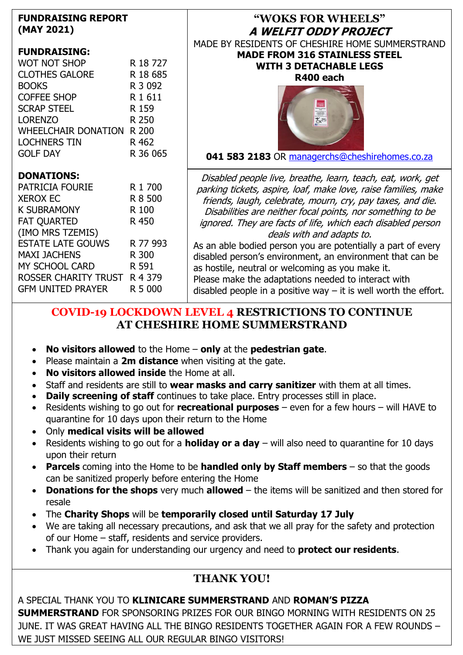### **FUNDRAISING REPORT (MAY 2021)**

### **FUNDRAISING:**

| <b>WOT NOT SHOP</b>        | R 18 727 |
|----------------------------|----------|
| <b>CLOTHES GALORE</b>      | R 18 685 |
| <b>BOOKS</b>               | R 3 092  |
| <b>COFFEE SHOP</b>         | R 1 611  |
| <b>SCRAP STEEL</b>         | R 159    |
| <b>LORENZO</b>             | R 250    |
| <b>WHEELCHAIR DONATION</b> | R 200    |
| <b>LOCHNERS TIN</b>        | R 462    |
| <b>GOLF DAY</b>            | R 36 065 |
| <b>DONATIONS:</b>          |          |
| PATRICIA FOURIF            | R 1 700  |

| PATRICIA FOURIE              | R <sub>1700</sub> |
|------------------------------|-------------------|
| <b>XEROX EC</b>              | R 8 500           |
| <b>K SUBRAMONY</b>           | R 100             |
| <b>FAT QUARTED</b>           | R 450             |
| (IMO MRS TZEMIS)             |                   |
| ESTATE LATE GOUWS            | R 77 993          |
| <b>MAXI JACHENS</b>          | R 300             |
| MY SCHOOL CARD               | R 591             |
| ROSSER CHARITY TRUST R 4 379 |                   |
| <b>GFM UNITED PRAYER</b>     | R 5 000           |

### **"WOKS FOR WHEELS" A WELFIT ODDY PROJECT** MADE BY RESIDENTS OF CHESHIRE HOME SUMMERSTRAND **MADE FROM 316 STAINLESS STEEL WITH 3 DETACHABLE LEGS R400 each**



**041 583 2183** OR [managerchs@cheshirehomes.co.za](mailto:managerchs@cheshirehomes.co.za)

Disabled people live, breathe, learn, teach, eat, work, get parking tickets, aspire, loaf, make love, raise families, make friends, laugh, celebrate, mourn, cry, pay taxes, and die. Disabilities are neither focal points, nor something to be ignored. They are facts of life, which each disabled person deals with and adapts to.

As an able bodied person you are potentially a part of every disabled person's environment, an environment that can be as hostile, neutral or welcoming as you make it. Please make the adaptations needed to interact with disabled people in a positive way  $-$  it is well worth the effort.

### **COVID-19 LOCKDOWN LEVEL 4 RESTRICTIONS TO CONTINUE AT CHESHIRE HOME SUMMERSTRAND**

- **No visitors allowed** to the Home **only** at the **pedestrian gate**.
- Please maintain a **2m distance** when visiting at the gate.
- **No visitors allowed inside** the Home at all.
- Staff and residents are still to **wear masks and carry sanitizer** with them at all times.
- **Daily screening of staff** continues to take place. Entry processes still in place.
- Residents wishing to go out for **recreational purposes** even for a few hours will HAVE to quarantine for 10 days upon their return to the Home
- Only **medical visits will be allowed**
- Residents wishing to go out for a **holiday or a day** will also need to quarantine for 10 days upon their return
- **Parcels** coming into the Home to be **handled only by Staff members** so that the goods can be sanitized properly before entering the Home
- **Donations for the shops** very much **allowed** the items will be sanitized and then stored for resale
- The **Charity Shops** will be **temporarily closed until Saturday 17 July**
- We are taking all necessary precautions, and ask that we all pray for the safety and protection of our Home – staff, residents and service providers.
- Thank you again for understanding our urgency and need to **protect our residents**.

# **THANK YOU!**

### A SPECIAL THANK YOU TO **KLINICARE SUMMERSTRAND** AND **ROMAN'S PIZZA SUMMERSTRAND** FOR SPONSORING PRIZES FOR OUR BINGO MORNING WITH RESIDENTS ON 25 JUNE. IT WAS GREAT HAVING ALL THE BINGO RESIDENTS TOGETHER AGAIN FOR A FEW ROUNDS – WE JUST MISSED SEEING ALL OUR REGULAR BINGO VISITORS!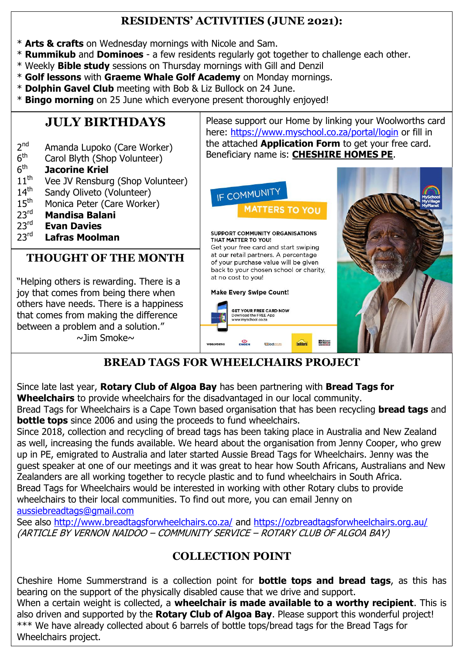## **RESIDENTS' ACTIVITIES (JUNE 2021):**

- \* **Arts & crafts** on Wednesday mornings with Nicole and Sam.
- \* **Rummikub** and **Dominoes** a few residents regularly got together to challenge each other.
- \* Weekly **Bible study** sessions on Thursday mornings with Gill and Denzil
- \* **Golf lessons** with **Graeme Whale Golf Academy** on Monday mornings.
- \* **Dolphin Gavel Club** meeting with Bob & Liz Bullock on 24 June.
- \* **Bingo morning** on 25 June which everyone present thoroughly enjoyed!

# **JULY BIRTHDAYS**

- 2 nd Amanda Lupoko (Care Worker)
- $6^{\sf th}$ Carol Blyth (Shop Volunteer)
- $6<sup>th</sup>$ **Jacorine Kriel**
- $11<sup>th</sup>$ Vee JV Rensburg (Shop Volunteer)
- $14<sup>th</sup>$ Sandy Oliveto (Volunteer)
- $15<sup>th</sup>$ Monica Peter (Care Worker)
- $23$ rd **Mandisa Balani**
- 23rd **Evan Davies**
- 23rd **Lafras Moolman**

## **THOUGHT OF THE MONTH**

"Helping others is rewarding. There is a joy that comes from being there when others have needs. There is a happiness that comes from making the difference between a problem and a solution."  $\sim$  Jim Smoke $\sim$ 

Please support our Home by linking your Woolworths card here:<https://www.myschool.co.za/portal/login> or fill in the attached **Application Form** to get your free card. Beneficiary name is: **CHESHIRE HOMES PE**.



**ED** Bidves

# **BREAD TAGS FOR WHEELCHAIRS PROJECT**

 $\mathcal{Q}$ 

Felont co.za

Since late last year, **Rotary Club of Algoa Bay** has been partnering with **Bread Tags for** 

**Wheelchairs** to provide wheelchairs for the disadvantaged in our local community.

Bread Tags for Wheelchairs is a Cape Town based organisation that has been recycling **bread tags** and **bottle tops** since 2006 and using the proceeds to fund wheelchairs.

Since 2018, collection and recycling of bread tags has been taking place in Australia and New Zealand as well, increasing the funds available. We heard about the organisation from Jenny Cooper, who grew up in PE, emigrated to Australia and later started Aussie Bread Tags for Wheelchairs. Jenny was the guest speaker at one of our meetings and it was great to hear how South Africans, Australians and New Zealanders are all working together to recycle plastic and to fund wheelchairs in South Africa. Bread Tags for Wheelchairs would be interested in working with other Rotary clubs to provide wheelchairs to their local communities. To find out more, you can email Jenny on [aussiebreadtags@gmail.com](mailto:aussiebreadtags@gmail.com)

See also<http://www.breadtagsforwheelchairs.co.za/> and<https://ozbreadtagsforwheelchairs.org.au/> (ARTICLE BY VERNON NAIDOO – COMMUNITY SERVICE – ROTARY CLUB OF ALGOA BAY)

## **COLLECTION POINT**

Cheshire Home Summerstrand is a collection point for **bottle tops and bread tags**, as this has bearing on the support of the physically disabled cause that we drive and support. When a certain weight is collected, a **wheelchair is made available to a worthy recipient**. This is also driven and supported by the **Rotary Club of Algoa Bay**. Please support this wonderful project! \*\*\* We have already collected about 6 barrels of bottle tops/bread tags for the Bread Tags for Wheelchairs project.